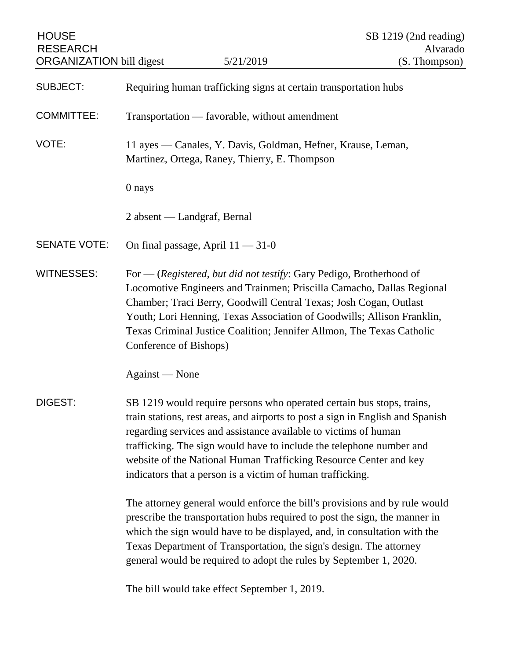| <b>HOUSE</b><br><b>RESEARCH</b><br><b>ORGANIZATION bill digest</b> |                                                                                                                                                                                                                                                                                                                                                                                                                                       | 5/21/2019                                                        | SB 1219 (2nd reading)<br>Alvarado<br>(S. Thompson) |
|--------------------------------------------------------------------|---------------------------------------------------------------------------------------------------------------------------------------------------------------------------------------------------------------------------------------------------------------------------------------------------------------------------------------------------------------------------------------------------------------------------------------|------------------------------------------------------------------|----------------------------------------------------|
| <b>SUBJECT:</b>                                                    |                                                                                                                                                                                                                                                                                                                                                                                                                                       | Requiring human trafficking signs at certain transportation hubs |                                                    |
| <b>COMMITTEE:</b>                                                  |                                                                                                                                                                                                                                                                                                                                                                                                                                       | Transportation — favorable, without amendment                    |                                                    |
| VOTE:                                                              | 11 ayes — Canales, Y. Davis, Goldman, Hefner, Krause, Leman,<br>Martinez, Ortega, Raney, Thierry, E. Thompson                                                                                                                                                                                                                                                                                                                         |                                                                  |                                                    |
|                                                                    | 0 nays                                                                                                                                                                                                                                                                                                                                                                                                                                |                                                                  |                                                    |
|                                                                    | 2 absent — Landgraf, Bernal                                                                                                                                                                                                                                                                                                                                                                                                           |                                                                  |                                                    |
| <b>SENATE VOTE:</b>                                                |                                                                                                                                                                                                                                                                                                                                                                                                                                       | On final passage, April $11 - 31 - 0$                            |                                                    |
| <b>WITNESSES:</b>                                                  | For — (Registered, but did not testify: Gary Pedigo, Brotherhood of<br>Locomotive Engineers and Trainmen; Priscilla Camacho, Dallas Regional<br>Chamber; Traci Berry, Goodwill Central Texas; Josh Cogan, Outlast<br>Youth; Lori Henning, Texas Association of Goodwills; Allison Franklin,<br>Texas Criminal Justice Coalition; Jennifer Allmon, The Texas Catholic<br>Conference of Bishops)                                        |                                                                  |                                                    |
|                                                                    | Against — None                                                                                                                                                                                                                                                                                                                                                                                                                        |                                                                  |                                                    |
| <b>DIGEST:</b>                                                     | SB 1219 would require persons who operated certain bus stops, trains,<br>train stations, rest areas, and airports to post a sign in English and Spanish<br>regarding services and assistance available to victims of human<br>trafficking. The sign would have to include the telephone number and<br>website of the National Human Trafficking Resource Center and key<br>indicators that a person is a victim of human trafficking. |                                                                  |                                                    |
|                                                                    | The attorney general would enforce the bill's provisions and by rule would<br>prescribe the transportation hubs required to post the sign, the manner in<br>which the sign would have to be displayed, and, in consultation with the<br>Texas Department of Transportation, the sign's design. The attorney<br>general would be required to adopt the rules by September 1, 2020.                                                     |                                                                  |                                                    |
|                                                                    |                                                                                                                                                                                                                                                                                                                                                                                                                                       | The bill would take effect September 1, 2019.                    |                                                    |